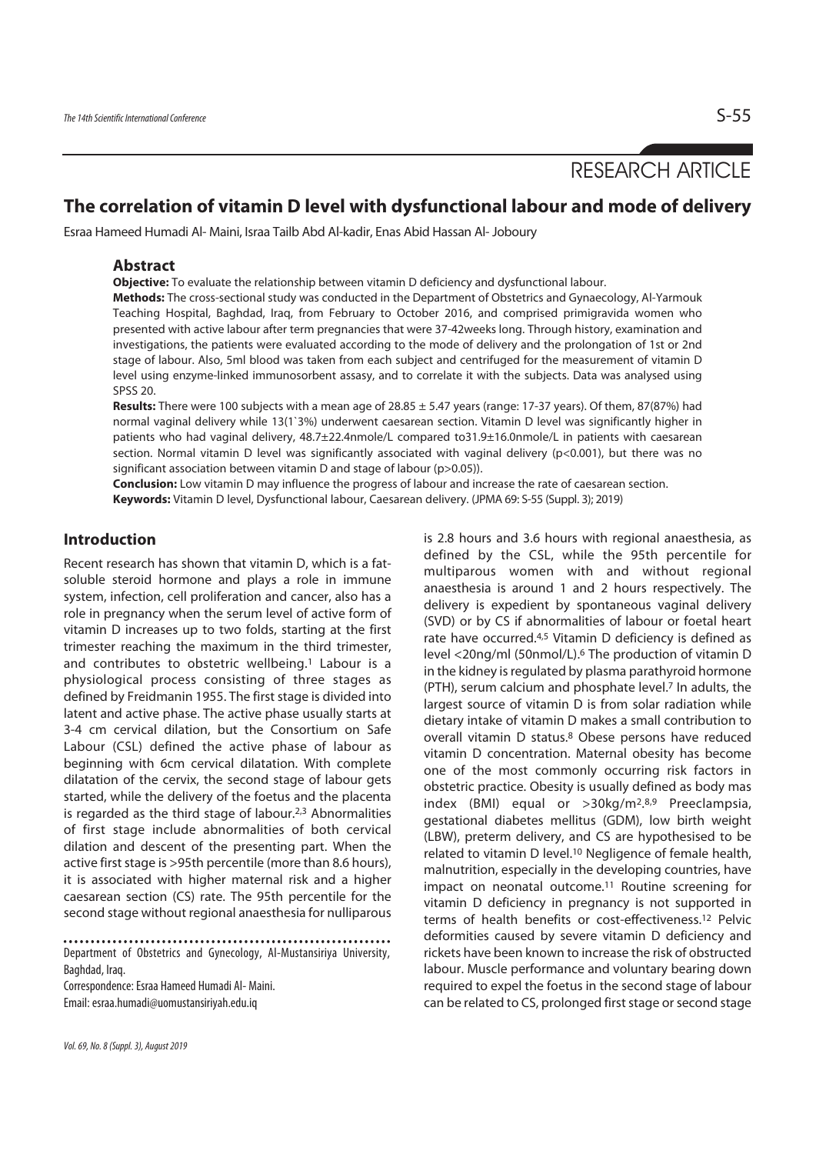# RESEARCH ARTICLE

# **The correlation of vitamin D level with dysfunctional labour and mode of delivery**

Esraa Hameed Humadi Al- Maini, Israa Tailb Abd Al-kadir, Enas Abid Hassan Al- Joboury

### **Abstract**

**Objective:** To evaluate the relationship between vitamin D deficiency and dysfunctional labour.

**Methods:** The cross-sectional study was conducted in the Department of Obstetrics and Gynaecology, Al-Yarmouk Teaching Hospital, Baghdad, Iraq, from February to October 2016, and comprised primigravida women who presented with active labour after term pregnancies that were 37-42weeks long. Through history, examination and investigations, the patients were evaluated according to the mode of delivery and the prolongation of 1st or 2nd stage of labour. Also, 5ml blood was taken from each subject and centrifuged for the measurement of vitamin D level using enzyme-linked immunosorbent assasy, and to correlate it with the subjects. Data was analysed using SPSS 20.

**Results:** There were 100 subjects with a mean age of 28.85 ± 5.47 years (range: 17-37 years). Of them, 87(87%) had normal vaginal delivery while 13(1`3%) underwent caesarean section. Vitamin D level was significantly higher in patients who had vaginal delivery, 48.7±22.4nmole/L compared to31.9±16.0nmole/L in patients with caesarean section. Normal vitamin D level was significantly associated with vaginal delivery (p<0.001), but there was no significant association between vitamin D and stage of labour (p>0.05)).

**Conclusion:** Low vitamin D may influence the progress of labour and increase the rate of caesarean section. **Keywords:** Vitamin D level, Dysfunctional labour, Caesarean delivery. (JPMA 69: S-55 (Suppl. 3); 2019)

# **Introduction**

Recent research has shown that vitamin D, which is a fatsoluble steroid hormone and plays a role in immune system, infection, cell proliferation and cancer, also has a role in pregnancy when the serum level of active form of vitamin D increases up to two folds, starting at the first trimester reaching the maximum in the third trimester, and contributes to obstetric wellbeing.<sup>1</sup> Labour is a physiological process consisting of three stages as defined by Freidmanin 1955. The first stage is divided into latent and active phase. The active phase usually starts at 3-4 cm cervical dilation, but the Consortium on Safe Labour (CSL) defined the active phase of labour as beginning with 6cm cervical dilatation. With complete dilatation of the cervix, the second stage of labour gets started, while the delivery of the foetus and the placenta is regarded as the third stage of labour.2,3 Abnormalities of first stage include abnormalities of both cervical dilation and descent of the presenting part. When the active first stage is >95th percentile (more than 8.6 hours), it is associated with higher maternal risk and a higher caesarean section (CS) rate. The 95th percentile for the second stage without regional anaesthesia for nulliparous

Correspondence: Esraa Hameed Humadi Al- Maini. Email: esraa.humadi@uomustansiriyah.edu.iq

Vol. 69, No. 8 (Suppl. 3), August 2019

is 2.8 hours and 3.6 hours with regional anaesthesia, as defined by the CSL, while the 95th percentile for multiparous women with and without regional anaesthesia is around 1 and 2 hours respectively. The delivery is expedient by spontaneous vaginal delivery (SVD) or by CS if abnormalities of labour or foetal heart rate have occurred.4,5 Vitamin D deficiency is defined as level <20ng/ml (50nmol/L).6 The production of vitamin D in the kidney is regulated by plasma parathyroid hormone (PTH), serum calcium and phosphate level.7 In adults, the largest source of vitamin D is from solar radiation while dietary intake of vitamin D makes a small contribution to overall vitamin D status.8 Obese persons have reduced vitamin D concentration. Maternal obesity has become one of the most commonly occurring risk factors in obstetric practice. Obesity is usually defined as body mas index (BMI) equal or >30kg/m2. 8,9 Preeclampsia, gestational diabetes mellitus (GDM), low birth weight (LBW), preterm delivery, and CS are hypothesised to be related to vitamin D level.10 Negligence of female health, malnutrition, especially in the developing countries, have impact on neonatal outcome.11 Routine screening for vitamin D deficiency in pregnancy is not supported in terms of health benefits or cost-effectiveness.12 Pelvic deformities caused by severe vitamin D deficiency and rickets have been known to increase the risk of obstructed labour. Muscle performance and voluntary bearing down required to expel the foetus in the second stage of labour can be related to CS, prolonged first stage or second stage

Department of Obstetrics and Gynecology, Al-Mustansiriya University, Baghdad, Iraq.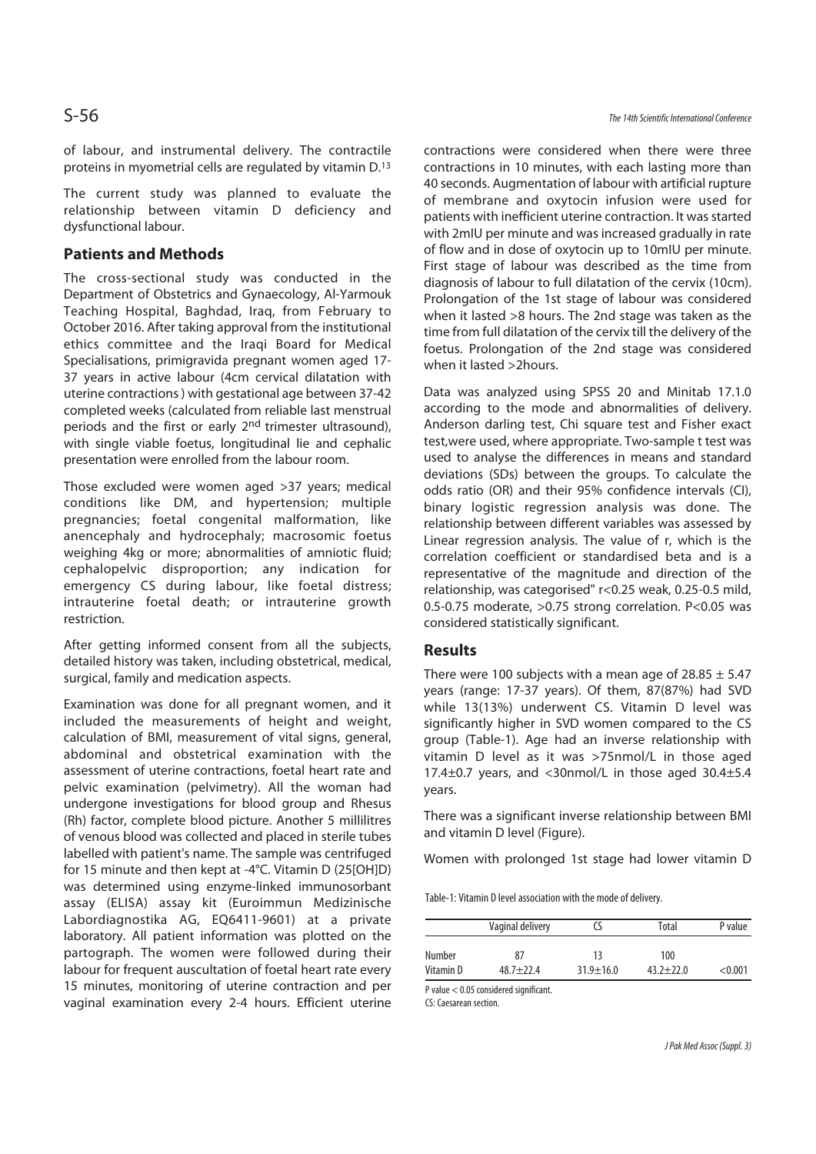of labour, and instrumental delivery. The contractile proteins in myometrial cells are regulated by vitamin D.13

The current study was planned to evaluate the relationship between vitamin D deficiency and dysfunctional labour.

# **Patients and Methods**

The cross-sectional study was conducted in the Department of Obstetrics and Gynaecology, Al-Yarmouk Teaching Hospital, Baghdad, Iraq, from February to October 2016. After taking approval from the institutional ethics committee and the Iraqi Board for Medical Specialisations, primigravida pregnant women aged 17- 37 years in active labour (4cm cervical dilatation with uterine contractions ) with gestational age between 37-42 completed weeks (calculated from reliable last menstrual periods and the first or early 2<sup>nd</sup> trimester ultrasound), with single viable foetus, longitudinal lie and cephalic presentation were enrolled from the labour room.

Those excluded were women aged >37 years; medical conditions like DM, and hypertension; multiple pregnancies; foetal congenital malformation, like anencephaly and hydrocephaly; macrosomic foetus weighing 4kg or more; abnormalities of amniotic fluid; cephalopelvic disproportion; any indication for emergency CS during labour, like foetal distress; intrauterine foetal death; or intrauterine growth restriction.

After getting informed consent from all the subjects, detailed history was taken, including obstetrical, medical, surgical, family and medication aspects.

Examination was done for all pregnant women, and it included the measurements of height and weight, calculation of BMI, measurement of vital signs, general, abdominal and obstetrical examination with the assessment of uterine contractions, foetal heart rate and pelvic examination (pelvimetry). All the woman had undergone investigations for blood group and Rhesus (Rh) factor, complete blood picture. Another 5 millilitres of venous blood was collected and placed in sterile tubes labelled with patient's name. The sample was centrifuged for 15 minute and then kept at -4°C. Vitamin D (25[OH]D) was determined using enzyme-linked immunosorbant assay (ELISA) assay kit (Euroimmun Medizinische Labordiagnostika AG, EQ6411-9601) at a private laboratory. All patient information was plotted on the partograph. The women were followed during their labour for frequent auscultation of foetal heart rate every 15 minutes, monitoring of uterine contraction and per vaginal examination every 2-4 hours. Efficient uterine

contractions were considered when there were three contractions in 10 minutes, with each lasting more than 40 seconds. Augmentation of labour with artificial rupture of membrane and oxytocin infusion were used for patients with inefficient uterine contraction. It was started with 2mIU per minute and was increased gradually in rate of flow and in dose of oxytocin up to 10mIU per minute. First stage of labour was described as the time from diagnosis of labour to full dilatation of the cervix (10cm). Prolongation of the 1st stage of labour was considered when it lasted >8 hours. The 2nd stage was taken as the time from full dilatation of the cervix till the delivery of the foetus. Prolongation of the 2nd stage was considered when it lasted >2hours.

Data was analyzed using SPSS 20 and Minitab 17.1.0 according to the mode and abnormalities of delivery. Anderson darling test, Chi square test and Fisher exact test,were used, where appropriate. Two-sample t test was used to analyse the differences in means and standard deviations (SDs) between the groups. To calculate the odds ratio (OR) and their 95% confidence intervals (CI), binary logistic regression analysis was done. The relationship between different variables was assessed by Linear regression analysis. The value of r, which is the correlation coefficient or standardised beta and is a representative of the magnitude and direction of the relationship, was categorised" r<0.25 weak, 0.25-0.5 mild, 0.5-0.75 moderate, >0.75 strong correlation. P<0.05 was considered statistically significant.

### **Results**

There were 100 subjects with a mean age of 28.85  $\pm$  5.47 years (range: 17-37 years). Of them, 87(87%) had SVD while 13(13%) underwent CS. Vitamin D level was significantly higher in SVD women compared to the CS group (Table-1). Age had an inverse relationship with vitamin D level as it was >75nmol/L in those aged 17.4 $\pm$ 0.7 years, and <30nmol/L in those aged 30.4 $\pm$ 5.4 years.

There was a significant inverse relationship between BMI and vitamin D level (Figure).

Women with prolonged 1st stage had lower vitamin D

Table-1: Vitamin D level association with the mode of delivery.

| Vaginal delivery |               |                 | Total         | P value |  |
|------------------|---------------|-----------------|---------------|---------|--|
| Number           | 87            | 13              | 100           |         |  |
| Vitamin D        | $48.7 + 22.4$ | $31.9 \pm 16.0$ | $43.2 + 22.0$ | < 0.001 |  |

P value < 0.05 considered significant.

CS: Caesarean section.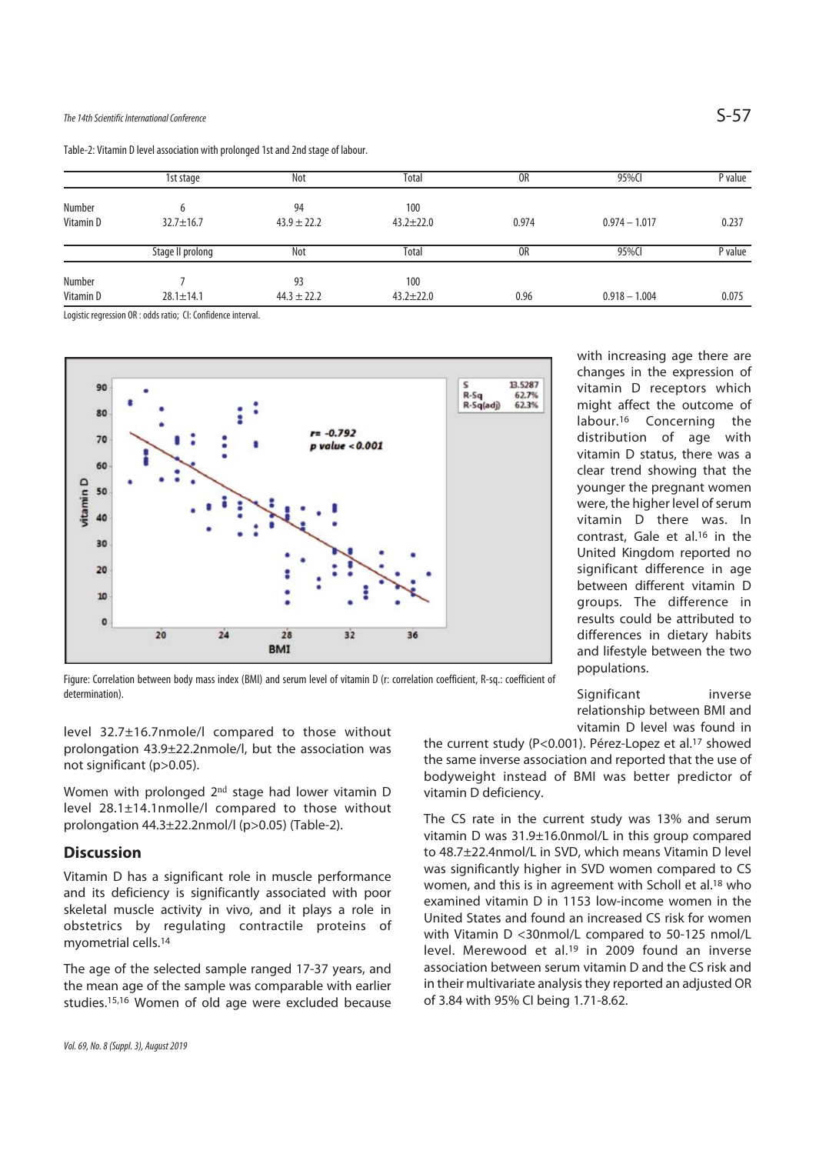## The 14th Scientific International Conference  $\mathsf{S}\text{-}57$

Table-2: Vitamin D level association with prolonged 1st and 2nd stage of labour.

|                     | 1st stage            | Not                   | Total                  | 0R             | 95%CI           | P value |
|---------------------|----------------------|-----------------------|------------------------|----------------|-----------------|---------|
| Number<br>Vitamin D | 6<br>$32.7 \pm 16.7$ | 94<br>$43.9 \pm 22.2$ | 100<br>$43.2 \pm 22.0$ | 0.974          | $0.974 - 1.017$ | 0.237   |
|                     | Stage II prolong     | Not                   | Total                  | 0 <sub>R</sub> | 95%CI           | P value |
| Number              |                      | 93                    | 100                    |                |                 |         |
| Vitamin D           | $28.1 \pm 14.1$      | $44.3 \pm 22.2$       | $43.2 \pm 22.0$        | 0.96           | $0.918 - 1.004$ | 0.075   |

Logistic regression OR : odds ratio; CI: Confidence interval.



with increasing age there are changes in the expression of vitamin D receptors which might affect the outcome of labour.16 Concerning the distribution of age with vitamin D status, there was a clear trend showing that the younger the pregnant women were, the higher level of serum vitamin D there was. In contrast, Gale et al.16 in the United Kingdom reported no significant difference in age between different vitamin D groups. The difference in results could be attributed to differences in dietary habits and lifestyle between the two populations.

Figure: Correlation between body mass index (BMI) and serum level of vitamin D (r: correlation coefficient, R-sq.: coefficient of determination).

level 32.7±16.7nmole/l compared to those without prolongation 43.9±22.2nmole/l, but the association was not significant (p>0.05).

Women with prolonged 2nd stage had lower vitamin D level 28.1±14.1nmolle/l compared to those without prolongation 44.3±22.2nmol/l (p>0.05) (Table-2).

#### **Discussion**

Vitamin D has a significant role in muscle performance and its deficiency is significantly associated with poor skeletal muscle activity in vivo, and it plays a role in obstetrics by regulating contractile proteins of myometrial cells.14

The age of the selected sample ranged 17-37 years, and the mean age of the sample was comparable with earlier studies.15,16 Women of old age were excluded because

Vol. 69, No. 8 (Suppl. 3), August 2019

Significant inverse relationship between BMI and vitamin D level was found in

the current study (P<0.001). Pérez-Lopez et al.17 showed the same inverse association and reported that the use of bodyweight instead of BMI was better predictor of vitamin D deficiency.

The CS rate in the current study was 13% and serum vitamin D was 31.9±16.0nmol/L in this group compared to 48.7±22.4nmol/L in SVD, which means Vitamin D level was significantly higher in SVD women compared to CS women, and this is in agreement with Scholl et al.18 who examined vitamin D in 1153 low-income women in the United States and found an increased CS risk for women with Vitamin D <30nmol/L compared to 50-125 nmol/L level. Merewood et al.<sup>19</sup> in 2009 found an inverse association between serum vitamin D and the CS risk and in their multivariate analysis they reported an adjusted OR of 3.84 with 95% CI being 1.71-8.62.